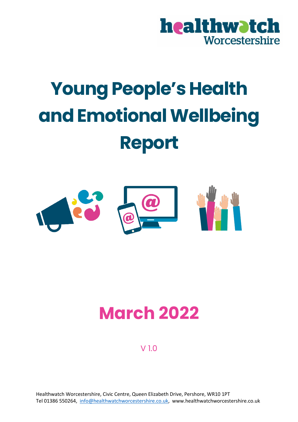

# **Young People's Health and Emotional Wellbeing Report**



## **March 2022**

V 1.0

Healthwatch Worcestershire, Civic Centre, Queen Elizabeth Drive, Pershore, WR10 1PT Tel 01386 550264, [info@healthwatchworcestershire.co.uk,](mailto:info@healthwatchworcestershire.co.uk) www.healthwatchworcestershire.co.uk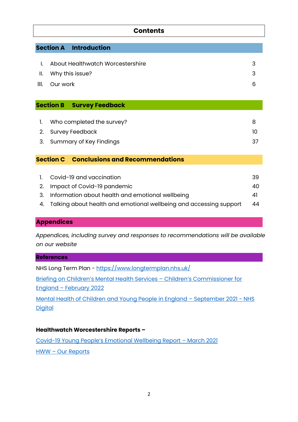## **Contents**

#### **Section A Introduction**

| I. About Healthwatch Worcestershire |    |
|-------------------------------------|----|
| II. Why this issue?                 |    |
| III. Our work                       | 6. |

#### **Section B Survey Feedback**

| 1. Who completed the survey? |  |
|------------------------------|--|
| 2. Survey Feedback           |  |
| 3. Summary of Key Findings   |  |

#### **Section C Conclusions and Recommendations**

| 1. Covid-19 and vaccination                                           | 39  |
|-----------------------------------------------------------------------|-----|
| 2. Impact of Covid-19 pandemic                                        | 40. |
| 3. Information about health and emotional wellbeing                   | 41  |
| 4. Talking about health and emotional wellbeing and accessing support | 44  |

#### **Appendices**

 *Appendices, including survey and responses to recommendations will be available on our website* 

## **References** NHS Long Term Plan - <https://www.longtermplan.nhs.uk/> [Briefing on Children's Mental Health](https://www.childrenscommissioner.gov.uk/report/briefing-on-childrens-mental-health-services-2020-2021/) Services – Children's Commissioner for England – [February 2022](https://www.childrenscommissioner.gov.uk/report/briefing-on-childrens-mental-health-services-2020-2021/) [Mental Health of Children and Young People in England](https://digital.nhs.uk/data-and-information/publications/statistical/mental-health-of-children-and-young-people-in-england/2021-follow-up-to-the-2017-survey) - September 2021 - NHS **[Digital](https://digital.nhs.uk/data-and-information/publications/statistical/mental-health-of-children-and-young-people-in-england/2021-follow-up-to-the-2017-survey)**

#### **Healthwatch Worcestershire Reports –**

Covid-[19 Young People's Emotional Wellbeing Report](https://www.healthwatchworcestershire.co.uk/wp-content/uploads/2021/03/HWW-Covid-19-Young-Peoples-Emotional-Wellbeing-Report-March-2021.pdf) – March 2021 HWW – [Our Reports](https://www.healthwatchworcestershire.co.uk/our-work/our-reports-responses-and-feedback/)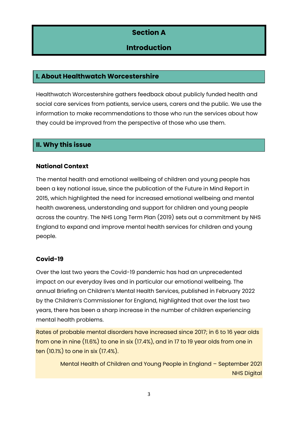## **Section A**

## **Introduction**

## **I. About Healthwatch Worcestershire**

Healthwatch Worcestershire gathers feedback about publicly funded health and social care services from patients, service users, carers and the public. We use the information to make recommendations to those who run the services about how they could be improved from the perspective of those who use them.

## **II. Why this issue**

## **National Context**

The mental health and emotional wellbeing of children and young people has been a key national issue, since the publication of the Future in Mind Report in 2015, which highlighted the need for increased emotional wellbeing and mental health awareness, understanding and support for children and young people across the country. The NHS Long Term Plan (2019) sets out a commitment by NHS England to expand and improve mental health services for children and young people.

## **Covid-19**

Over the last two years the Covid-19 pandemic has had an unprecedented impact on our everyday lives and in particular our emotional wellbeing. The annual Briefing on Children's Mental Health Services, published in February 2022 by the Children's Commissioner for England, highlighted that over the last two years, there has been a sharp increase in the number of children experiencing mental health problems.

Rates of probable mental disorders have increased since 2017; in 6 to 16 year olds from one in nine (11.6%) to one in six (17.4%), and in 17 to 19 year olds from one in ten (10.1%) to one in six (17.4%).

> Mental Health of Children and Young People in England – September 2021 NHS Digital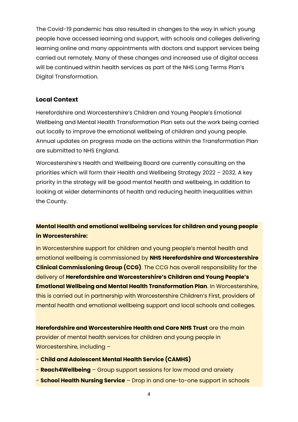The Covid-19 pandemic has also resulted in changes to the way in which young people have accessed learning and support, with schools and colleges delivering learning online and many appointments with doctors and support services being carried out remotely. Many of these changes and increased use of digital access will be continued within health services as part of the NHS Long Terms Plan's Digital Transformation.

#### **Local Context**

Herefordshire and Worcestershire's Children and Young People's Emotional Wellbeing and Mental Health Transformation Plan sets out the work being carried out locally to improve the emotional wellbeing of children and young people. Annual updates on progress made on the actions within the Transformation Plan are submitted to NHS England.

Worcestershire's Health and Wellbeing Board are currently consulting on the priorities which will form their Health and Wellbeing Strategy 2022 – 2032. A key priority in the strategy will be good mental health and wellbeing, in addition to looking at wider determinants of health and reducing health inequalities within the County.

## **Mental Health and emotional wellbeing services for children and young people in Worcestershire:**

In Worcestershire support for children and young people's mental health and emotional wellbeing is commissioned by **NHS Herefordshire and Worcestershire Clinical Commissioning Group (CCG)**. The CCG has overall responsibility for the delivery of **Herefordshire and Worcestershire's Children and Young People's Emotional Wellbeing and Mental Health Transformation Plan**. In Worcestershire, this is carried out in partnership with Worcestershire Children's First, providers of mental health and emotional wellbeing support and local schools and colleges.

**Herefordshire and Worcestershire Health and Care NHS Trust** are the main provider of mental health services for children and young people in Worcestershire, including –

- **Child and Adolescent Mental Health Service (CAMHS)**
- **Reach4Wellbeing** Group support sessions for low mood and anxiety
- **School Health Nursing Service** Drop in and one-to-one support in schools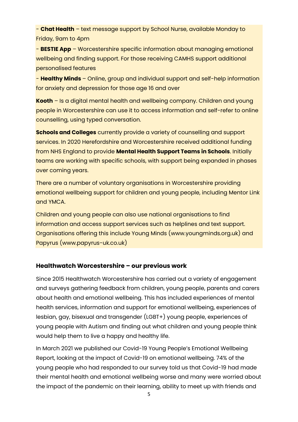- **Chat Health** – text message support by School Nurse, available Monday to Friday, 9am to 4pm

- **BESTIE App** – Worcestershire specific information about managing emotional wellbeing and finding support. For those receiving CAMHS support additional personalised features

- **Healthy Minds** – Online, group and individual support and self-help information for anxiety and depression for those age 16 and over

**Kooth** – Is a digital mental health and wellbeing company. Children and young people in Worcestershire can use it to access information and self-refer to online counselling, using typed conversation.

**Schools and Colleges** currently provide a variety of counselling and support services. In 2020 Herefordshire and Worcestershire received additional funding from NHS England to provide **Mental Health Support Teams in Schools**. Initially teams are working with specific schools, with support being expanded in phases over coming years.

There are a number of voluntary organisations in Worcestershire providing emotional wellbeing support for children and young people, including Mentor Link and YMCA.

Children and young people can also use national organisations to find information and access support services such as helplines and text support. Organisations offering this include Young Minds (www.youngminds.org.uk) and Papyrus (www.papyrus-uk.co.uk)

#### **Healthwatch Worcestershire – our previous work**

Since 2015 Healthwatch Worcestershire has carried out a variety of engagement and surveys gathering feedback from children, young people, parents and carers about health and emotional wellbeing. This has included experiences of mental health services, information and support for emotional wellbeing, experiences of lesbian, gay, bisexual and transgender (LGBT+) young people, experiences of young people with Autism and finding out what children and young people think would help them to live a happy and healthy life.

In March 2021 we published our Covid-19 Young People's Emotional Wellbeing Report, looking at the impact of Covid-19 on emotional wellbeing. 74% of the young people who had responded to our survey told us that Covid-19 had made their mental health and emotional wellbeing worse and many were worried about the impact of the pandemic on their learning, ability to meet up with friends and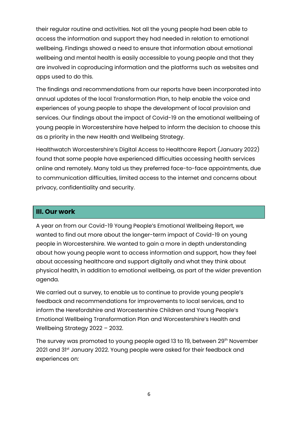their regular routine and activities. Not all the young people had been able to access the information and support they had needed in relation to emotional wellbeing. Findings showed a need to ensure that information about emotional wellbeing and mental health is easily accessible to young people and that they are involved in coproducing information and the platforms such as websites and apps used to do this.

The findings and recommendations from our reports have been incorporated into annual updates of the local Transformation Plan, to help enable the voice and experiences of young people to shape the development of local provision and services. Our findings about the impact of Covid-19 on the emotional wellbeing of young people in Worcestershire have helped to inform the decision to choose this as a priority in the new Health and Wellbeing Strategy.

Healthwatch Worcestershire's Digital Access to Healthcare Report (January 2022) found that some people have experienced difficulties accessing health services online and remotely. Many told us they preferred face-to-face appointments, due to communication difficulties, limited access to the internet and concerns about privacy, confidentiality and security.

## **III. Our work**

A year on from our Covid-19 Young People's Emotional Wellbeing Report, we wanted to find out more about the longer-term impact of Covid-19 on young people in Worcestershire. We wanted to gain a more in depth understanding about how young people want to access information and support, how they feel about accessing healthcare and support digitally and what they think about physical health, in addition to emotional wellbeing, as part of the wider prevention agenda.

We carried out a survey, to enable us to continue to provide young people's feedback and recommendations for improvements to local services, and to inform the Herefordshire and Worcestershire Children and Young People's Emotional Wellbeing Transformation Plan and Worcestershire's Health and Wellbeing Strategy 2022 – 2032.

The survey was promoted to young people aged 13 to 19, between 29<sup>th</sup> November 2021 and 31<sup>st</sup> January 2022. Young people were asked for their feedback and experiences on: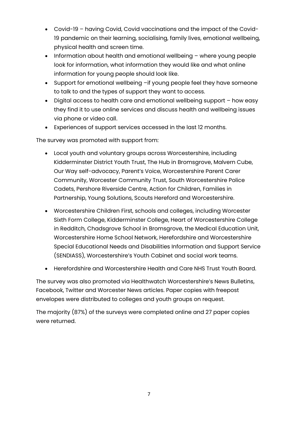- Covid-19 having Covid, Covid vaccinations and the impact of the Covid-19 pandemic on their learning, socialising, family lives, emotional wellbeing, physical health and screen time.
- Information about health and emotional wellbeing where young people look for information, what information they would like and what online information for young people should look like.
- Support for emotional wellbeing –if young people feel they have someone to talk to and the types of support they want to access.
- Digital access to health care and emotional wellbeing support how easy they find it to use online services and discuss health and wellbeing issues via phone or video call.
- Experiences of support services accessed in the last 12 months.

The survey was promoted with support from:

- Local youth and voluntary groups across Worcestershire, including Kidderminster District Youth Trust, The Hub in Bromsgrove, Malvern Cube, Our Way self-advocacy, Parent's Voice, Worcestershire Parent Carer Community, Worcester Community Trust, South Worcestershire Police Cadets, Pershore Riverside Centre, Action for Children, Families in Partnership, Young Solutions, Scouts Hereford and Worcestershire.
- Worcestershire Children First, schools and colleges, including Worcester Sixth Form College, Kidderminster College, Heart of Worcestershire College in Redditch, Chadsgrove School in Bromsgrove, the Medical Education Unit, Worcestershire Home School Network, Herefordshire and Worcestershire Special Educational Needs and Disabilities Information and Support Service (SENDIASS), Worcestershire's Youth Cabinet and social work teams.
- Herefordshire and Worcestershire Health and Care NHS Trust Youth Board.

The survey was also promoted via Healthwatch Worcestershire's News Bulletins, Facebook, Twitter and Worcester News articles. Paper copies with freepost envelopes were distributed to colleges and youth groups on request.

The majority (87%) of the surveys were completed online and 27 paper copies were returned.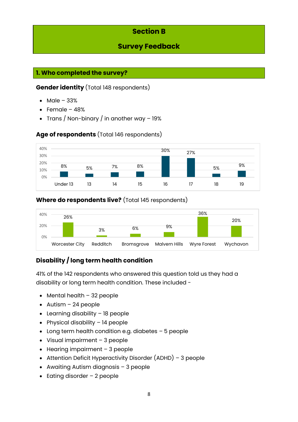## **Section B**

## **Survey Feedback**

## **1. Who completed the survey?**

## **Gender identity** (Total 148 respondents)

- Male 33%
- Female 48%
- Trans / Non-binary / in another way 19%

## **Age of respondents** (Total 146 respondents)



## **Where do respondents live?** (Total 145 respondents)



## **Disability / long term health condition**

41% of the 142 respondents who answered this question told us they had a disability or long term health condition. These included -

- Mental health 32 people
- Autism 24 people
- Learning disability 18 people
- Physical disability 14 people
- Long term health condition e.g. diabetes 5 people
- Visual impairment 3 people
- Hearing impairment 3 people
- Attention Deficit Hyperactivity Disorder (ADHD) 3 people
- Awaiting Autism diagnosis 3 people
- Eating disorder 2 people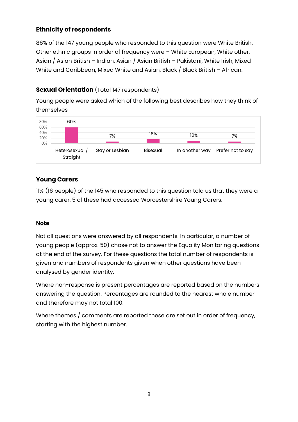## **Ethnicity of respondents**

86% of the 147 young people who responded to this question were White British. Other ethnic groups in order of frequency were – White European, White other, Asian / Asian British – Indian, Asian / Asian British – Pakistani, White Irish, Mixed White and Caribbean, Mixed White and Asian, Black / Black British - African.

## **Sexual Orientation** (Total 147 respondents)

Young people were asked which of the following best describes how they think of themselves

| 80%<br>60%       | 60%                        |                |          |                |                   |
|------------------|----------------------------|----------------|----------|----------------|-------------------|
| 40%<br>20%<br>0% |                            | 7%             | 16%      | 10%            | 7%                |
|                  | Heterosexual /<br>Straight | Gay or Lesbian | Bisexual | In another way | Prefer not to say |

## **Young Carers**

11% (16 people) of the 145 who responded to this question told us that they were a young carer. 5 of these had accessed Worcestershire Young Carers.

## **Note**

Not all questions were answered by all respondents. In particular, a number of young people (approx. 50) chose not to answer the Equality Monitoring questions at the end of the survey. For these questions the total number of respondents is given and numbers of respondents given when other questions have been analysed by gender identity.

Where non-response is present percentages are reported based on the numbers answering the question. Percentages are rounded to the nearest whole number and therefore may not total 100.

Where themes / comments are reported these are set out in order of frequency, starting with the highest number.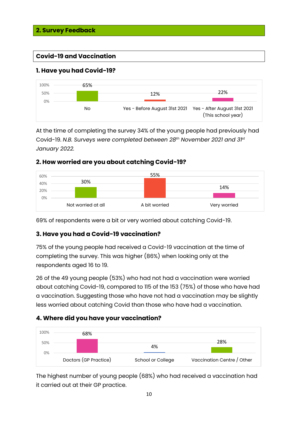## **Covid-19 and Vaccination**

## **1. Have you had Covid-19?**



At the time of completing the survey 34% of the young people had previously had Covid-19. *N.B. Surveys were completed between 28th November 2021 and 31st January 2022.*

## **2. How worried are you about catching Covid-19?**



69% of respondents were a bit or very worried about catching Covid-19.

## **3. Have you had a Covid-19 vaccination?**

75% of the young people had received a Covid-19 vaccination at the time of completing the survey. This was higher (86%) when looking only at the respondents aged 16 to 19.

26 of the 49 young people (53%) who had not had a vaccination were worried about catching Covid-19, compared to 115 of the 153 (75%) of those who have had a vaccination. Suggesting those who have not had a vaccination may be slightly less worried about catching Covid than those who have had a vaccination.

## **4. Where did you have your vaccination?**



The highest number of young people (68%) who had received a vaccination had it carried out at their GP practice.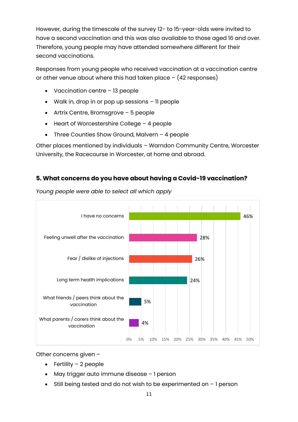However, during the timescale of the survey 12- to 15-year-olds were invited to have a second vaccination and this was also available to those aged 16 and over. Therefore, young people may have attended somewhere different for their second vaccinations.

Responses from young people who received vaccination at a vaccination centre or other venue about where this had taken place – (42 responses)

- Vaccination centre 13 people
- Walk in, drop in or pop up sessions 11 people
- Artrix Centre, Bromsgrove 5 people
- Heart of Worcestershire College 4 people
- Three Counties Show Ground, Malvern 4 people

Other places mentioned by individuals – Warndon Community Centre, Worcester University, the Racecourse in Worcester, at home and abroad.

## **5. What concerns do you have about having a Covid-19 vaccination?**



*Young people were able to select all which apply*

Other concerns given –

- $\bullet$  Fertility 2 people
- May trigger auto immune disease 1 person
- Still being tested and do not wish to be experimented on 1 person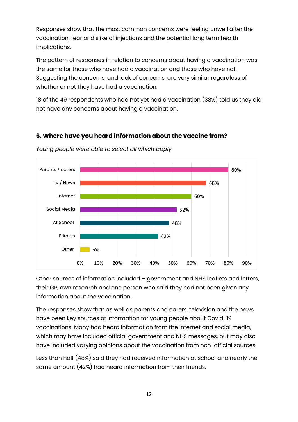Responses show that the most common concerns were feeling unwell after the vaccination, fear or dislike of injections and the potential long term health implications.

The pattern of responses in relation to concerns about having a vaccination was the same for those who have had a vaccination and those who have not. Suggesting the concerns, and lack of concerns, are very similar regardless of whether or not they have had a vaccination.

18 of the 49 respondents who had not yet had a vaccination (38%) told us they did not have any concerns about having a vaccination.

## **6. Where have you heard information about the vaccine from?**



*Young people were able to select all which apply*

Other sources of information included – government and NHS leaflets and letters, their GP, own research and one person who said they had not been given any information about the vaccination.

The responses show that as well as parents and carers, television and the news have been key sources of information for young people about Covid-19 vaccinations. Many had heard information from the internet and social media, which may have included official government and NHS messages, but may also have included varying opinions about the vaccination from non-official sources.

Less than half (48%) said they had received information at school and nearly the same amount (42%) had heard information from their friends.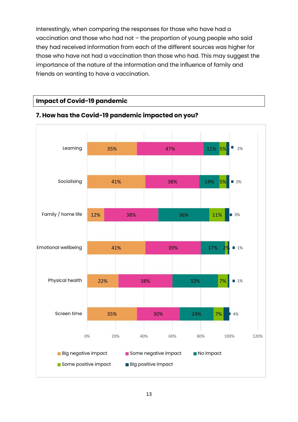Interestingly, when comparing the responses for those who have had a vaccination and those who had not – the proportion of young people who said they had received information from each of the different sources was higher for those who have not had a vaccination than those who had. This may suggest the importance of the nature of the information and the influence of family and friends on wanting to have a vaccination.

#### **Impact of Covid-19 pandemic**



## **7. How has the Covid-19 pandemic impacted on you?**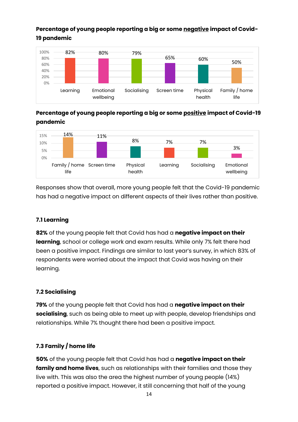## **Percentage of young people reporting a big or some negative impact of Covid-19 pandemic**



**Percentage of young people reporting a big or some positive impact of Covid-19 pandemic**



Responses show that overall, more young people felt that the Covid-19 pandemic has had a negative impact on different aspects of their lives rather than positive.

## **7.1 Learning**

**82%** of the young people felt that Covid has had a **negative impact on their learning**, school or college work and exam results. While only 7% felt there had been a positive impact. Findings are similar to last year's survey, in which 83% of respondents were worried about the impact that Covid was having on their learning.

## **7.2 Socialising**

**79%** of the young people felt that Covid has had a **negative impact on their socialising**, such as being able to meet up with people, develop friendships and relationships. While 7% thought there had been a positive impact.

## **7.3 Family / home life**

**50%** of the young people felt that Covid has had a **negative impact on their family and home lives**, such as relationships with their families and those they live with. This was also the area the highest number of young people (14%) reported a positive impact. However, it still concerning that half of the young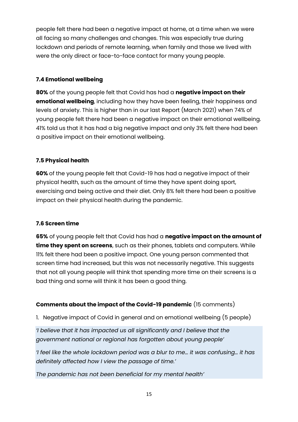people felt there had been a negative impact at home, at a time when we were all facing so many challenges and changes. This was especially true during lockdown and periods of remote learning, when family and those we lived with were the only direct or face-to-face contact for many young people.

## **7.4 Emotional wellbeing**

**80%** of the young people felt that Covid has had a **negative impact on their emotional wellbeing**, including how they have been feeling, their happiness and levels of anxiety. This is higher than in our last Report (March 2021) when 74% of young people felt there had been a negative impact on their emotional wellbeing. 41% told us that it has had a big negative impact and only 3% felt there had been a positive impact on their emotional wellbeing.

## **7.5 Physical health**

**60%** of the young people felt that Covid-19 has had a negative impact of their physical health, such as the amount of time they have spent doing sport, exercising and being active and their diet. Only 8% felt there had been a positive impact on their physical health during the pandemic.

## **7.6 Screen time**

**65%** of young people felt that Covid has had a **negative impact on the amount of time they spent on screens**, such as their phones, tablets and computers. While 11% felt there had been a positive impact. One young person commented that screen time had increased, but this was not necessarily negative. This suggests that not all young people will think that spending more time on their screens is a bad thing and some will think it has been a good thing.

## **Comments about the impact of the Covid-19 pandemic** (15 comments)

1. Negative impact of Covid in general and on emotional wellbeing (5 people)

*'I believe that it has impacted us all significantly and I believe that the government national or regional has forgotten about young people'*

*'I feel like the whole lockdown period was a blur to me… it was confusing… it has definitely affected how I view the passage of time.'*

*The pandemic has not been beneficial for my mental health'*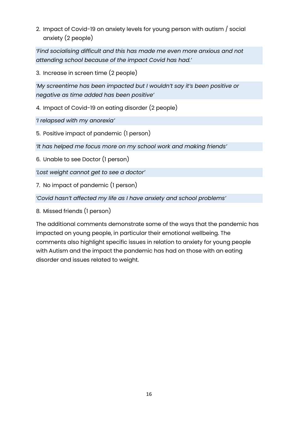2. Impact of Covid-19 on anxiety levels for young person with autism / social anxiety (2 people)

*'Find socialising difficult and this has made me even more anxious and not attending school because of the impact Covid has had.'*

3. Increase in screen time (2 people)

*'My screentime has been impacted but I wouldn't say it's been positive or negative as time added has been positive'*

4. Impact of Covid-19 on eating disorder (2 people)

*'I relapsed with my anorexia'*

5. Positive impact of pandemic (1 person)

*'It has helped me focus more on my school work and making friends'*

6. Unable to see Doctor (1 person)

*'Lost weight cannot get to see a doctor'*

7. No impact of pandemic (1 person)

*'Covid hasn't affected my life as I have anxiety and school problems'*

8. Missed friends (1 person)

The additional comments demonstrate some of the ways that the pandemic has impacted on young people, in particular their emotional wellbeing. The comments also highlight specific issues in relation to anxiety for young people with Autism and the impact the pandemic has had on those with an eating disorder and issues related to weight.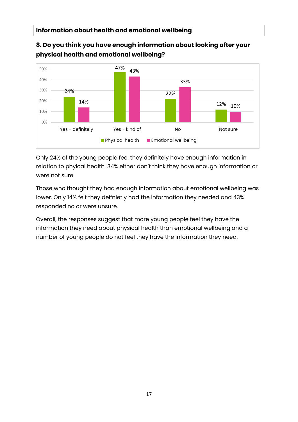#### **physical health and emotional wellbeing?** 24% 47% 22% 12% 14% 43% 33% 10% 0% 10% 20% 30% 40% 50% Yes - definitely Not sure Not sure Not sure Not sure Not sure **Physical health Emotional wellbeing**

**8. Do you think you have enough information about looking after your** 

Only 24% of the young people feel they definitely have enough information in relation to phyical health. 34% either don't think they have enough information or were not sure.

Those who thought they had enough information about emotional wellbeing was lower. Only 14% felt they deifnietly had the information they needed and 43% responded no or were unsure.

Overall, the responses suggest that more young people feel they have the information they need about physical health than emotional wellbeing and a number of young people do not feel they have the information they need.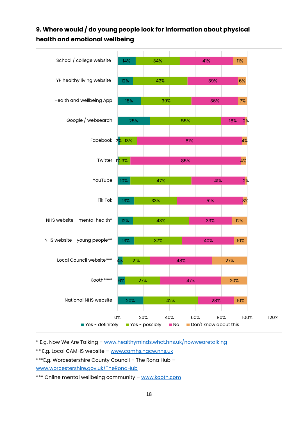## **9. Where would / do young people look for information about physical health and emotional wellbeing**



\* E.g. Now We Are Talking – [www.healthyminds.whct.hns.uk/nowwearetalking](http://www.healthyminds.whct.hns.uk/nowwearetalking)

\*\* E.g. Local CAMHS website – [www.camhs.hacw.nhs.uk](http://www.camhs.hacw.nhs.uk/)

\*\*\*E.g. Worcestershire County Council – The Rona Hub –

[www.worcestershire.gov.uk/TheRonaHub](http://www.worcestershire.gov.uk/TheRonaHub)

\*\*\* Online mental wellbeing community - [www.kooth.com](http://www.kooth.com/)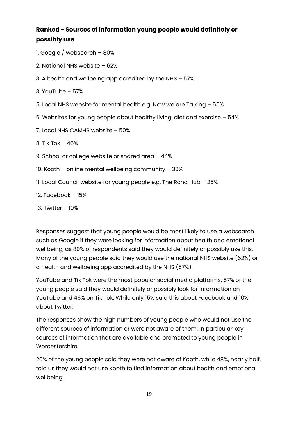## **Ranked - Sources of information young people would definitely or possibly use**

- 1. Google / websearch 80%
- 2. National NHS website 62%
- 3. A health and wellbeing app acredited by the NHS 57%
- $3.$  YouTube 57%
- 5. Local NHS website for mental health e.g. Now we are Talking 55%
- 6. Websites for young people about healthy living, diet and exercise 54%
- 7. Local NHS CAMHS website 50%
- 8. Tik Tok 46%
- 9. School or college website or shared area 44%
- 10. Kooth online mental wellbeing community 33%
- 11. Local Council website for young people e.g. The Rona Hub 25%
- 12. Facebook 15%
- 13. Twitter 10%

Responses suggest that young people would be most likely to use a websearch such as Google if they were looking for information about health and emotional wellbeing, as 80% of respondents said they would definitely or possibly use this. Many of the young people said they would use the national NHS website (62%) or a health and wellbeing app accredited by the NHS (57%).

YouTube and Tik Tok were the most popular social media platforms. 57% of the young people said they would definitely or possibly look for information on YouTube and 46% on Tik Tok. While only 15% said this about Facebook and 10% about Twitter.

The responses show the high numbers of young people who would not use the different sources of information or were not aware of them. In particular key sources of information that are available and promoted to young people in Worcestershire.

20% of the young people said they were not aware of Kooth, while 48%, nearly half, told us they would not use Kooth to find information about health and emotional wellbeing.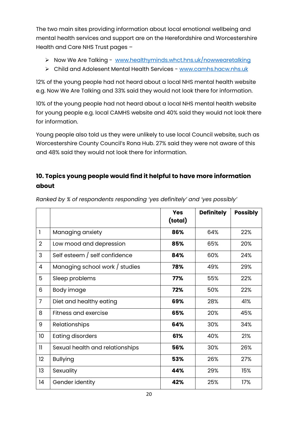The two main sites providing information about local emotional wellbeing and mental health services and support are on the Herefordshire and Worcestershire Health and Care NHS Trust pages –

- ➢ Now We Are Talking [www.healthyminds.whct.hns.uk/nowwearetalking](http://www.healthyminds.whct.hns.uk/nowwearetalking)
- ➢ Child and Adolesent Mental Health Services [www.camhs.hacw.nhs.uk](http://www.camhs.hacw.nhs.uk/)

12% of the young people had not heard about a local NHS mental health website e.g. Now We Are Talking and 33% said they would not look there for information.

10% of the young people had not heard about a local NHS mental health website for young people e.g. local CAMHS website and 40% said they would not look there for information.

Young people also told us they were unlikely to use local Council website, such as Worcestershire County Council's Rona Hub. 27% said they were not aware of this and 48% said they would not look there for information.

## **10. Topics young people would find it helpful to have more information about**

|                 |                                 | <b>Yes</b><br>(total) | <b>Definitely</b> | <b>Possibly</b> |
|-----------------|---------------------------------|-----------------------|-------------------|-----------------|
| $\mathbf{I}$    | Managing anxiety                | 86%                   | 64%               | 22%             |
| $\overline{2}$  | Low mood and depression         | 85%                   | 65%               | 20%             |
| 3               | Self esteem / self confidence   | 84%                   | 60%               | 24%             |
| 4               | Managing school work / studies  | 78%                   | 49%               | 29%             |
| 5               | Sleep problems                  | 77%                   | 55%               | 22%             |
| 6               | Body image                      | 72%                   | 50%               | 22%             |
| $\overline{7}$  | Diet and healthy eating         | 69%                   | 28%               | 41%             |
| 8               | Fitness and exercise            | 65%                   | 20%               | 45%             |
| 9               | Relationships                   | 64%                   | 30%               | 34%             |
| 10 <sup>°</sup> | <b>Eating disorders</b>         | 61%                   | 40%               | 21%             |
| $\mathbf{1}$    | Sexual health and relationships | 56%                   | 30%               | 26%             |
| 12              | <b>Bullying</b>                 | 53%                   | 26%               | 27%             |
| 13              | Sexuality                       | 44%                   | 29%               | 15%             |
| 4               | Gender identity                 | 42%                   | 25%               | 17%             |

*Ranked by % of respondents responding 'yes definitely' and 'yes possibly'*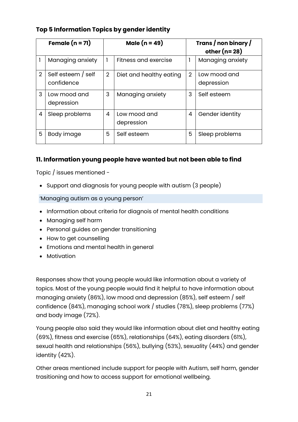## **Top 5 Information Topics by gender identity**

| Female $(n = 71)$ |                                  |   | Male $(n = 49)$            |   | Trans / non binary /<br>other $(n=28)$ |
|-------------------|----------------------------------|---|----------------------------|---|----------------------------------------|
|                   | Managing anxiety                 |   | Fitness and exercise       |   | Managing anxiety                       |
| 2                 | Self esteem / self<br>confidence | 2 | Diet and healthy eating    | 2 | Low mood and<br>depression             |
| 3                 | Low mood and<br>depression       | 3 | Managing anxiety           | 3 | Self esteem                            |
| 4                 | Sleep problems                   | 4 | Low mood and<br>depression | 4 | Gender identity                        |
| 5                 | Body image                       | 5 | Self esteem                | 5 | Sleep problems                         |

## **11. Information young people have wanted but not been able to find**

Topic / issues mentioned -

• Support and diagnosis for young people with autism (3 people)

#### 'Managing autism as a young person'

- Information about criteria for diagnois of mental health conditions
- Managing self harm
- Personal guides on gender transitioning
- How to get counselling
- Emotions and mental health in general
- Motivation

Responses show that young people would like information about a variety of topics. Most of the young people would find it helpful to have information about managing anxiety (86%), low mood and depression (85%), self esteem / self confidence (84%), managing school work / studies (78%), sleep problems (77%) and body image (72%).

Young people also said they would like information about diet and healthy eating (69%), fitness and exercise (65%), relationships (64%), eating disorders (61%), sexual health and relationships (56%), bullying (53%), sexuality (44%) and gender identity (42%).

Other areas mentioned include support for people with Autism, self harm, gender trasitioning and how to access support for emotional wellbeing.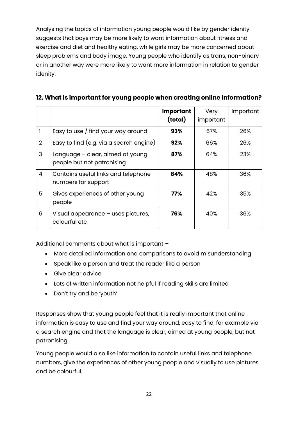Analysing the topics of information young people would like by gender idenity suggests that boys may be more likely to want information about fitness and exercise and diet and healthy eating, while girls may be more concerned about sleep problems and body image. Young people who identify as trans, non-binary or in another way were more likely to want more information in relation to gender idenity.

|                |                                                                | <b>Important</b><br>(total) | Very<br>important | Important |
|----------------|----------------------------------------------------------------|-----------------------------|-------------------|-----------|
|                | Easy to use / find your way around                             | 93%                         | 67%               | 26%       |
| $\overline{2}$ | Easy to find (e.g. via a search engine)                        | 92%                         | 66%               | 26%       |
| 3              | Language - clear, aimed at young<br>people but not patronising | 87%                         | 64%               | 23%       |
| 4              | Contains useful links and telephone<br>numbers for support     | 84%                         | 48%               | 36%       |
| 5              | Gives experiences of other young<br>people                     | 77%                         | 42%               | 35%       |
| 6              | Visual appearance - uses pictures,<br>colourful etc            | 76%                         | 40%               | 36%       |

## **12. What is important for young people when creating online information?**

Additional comments about what is important –

- More detailed information and comparisons to avoid misunderstanding
- Speak like a person and treat the reader like a person
- Give clear advice
- Lots of written information not helpful if reading skills are limited
- Don't try and be 'youth'

Responses show that young people feel that it is really important that online information is easy to use and find your way around, easy to find, for example via a search engine and that the language is clear, aimed at young people, but not patronising.

Young people would also like information to contain useful links and telephone numbers, give the experiences of other young people and visually to use pictures and be colourful.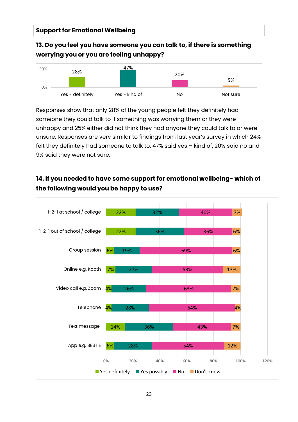## **13. Do you feel you have someone you can talk to, if there is something worrying you or you are feeling unhappy?**



Responses show that only 28% of the young people felt they definitely had someone they could talk to if something was worrying them or they were unhappy and 25% either did not think they had anyone they could talk to or were unsure. Responses are very similar to findings from last year's survey in which 24% felt they definitely had someone to talk to, 47% said yes – kind of, 20% said no and 9% said they were not sure.

## **14. If you needed to have some support for emotional wellbeing- which of the following would you be happy to use?**

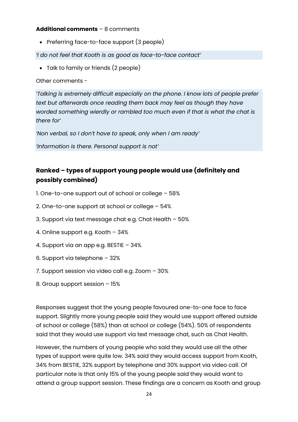#### **Additional comments** – 8 comments

• Preferring face-to-face support (3 people)

*'I do not feel that Kooth is as good as face-to-face contact'*

• Talk to family or friends (2 people)

Other comments -

*'Talking is extremely difficult especially on the phone. I know lots of people prefer*  text but afterwards once reading them back may feel as though they have *worded something wierdly or rambled too much even if that is what the chat is there for'*

*'Non verbal, so I don't have to speak, only when I am ready'*

*'Information is there. Personal support is not'*

## **Ranked – types of support young people would use (definitely and possibly combined)**

- 1. One-to-one support out of school or college 58%
- 2. One-to-one support at school or college 54%
- 3. Support via text message chat e.g. Chat Health 50%
- 4. Online support e.g. Kooth 34%
- 4. Support via an app e.g. BESTIE 34%
- 6. Support via telephone 32%
- 7. Support session via video call e.g. Zoom 30%
- 8. Group support session 15%

Responses suggest that the young people favoured one-to-one face to face support. Slightly more young people said they would use support offered outside of school or college (58%) than at school or college (54%). 50% of respondents said that they would use support via text message chat, such as Chat Health.

However, the numbers of young people who said they would use all the other types of support were quite low. 34% said they would access support from Kooth, 34% from BESTIE, 32% support by telephone and 30% support via video call. Of particular note is that only 15% of the young people said they would want to attend a group support session. These findings are a concern as Kooth and group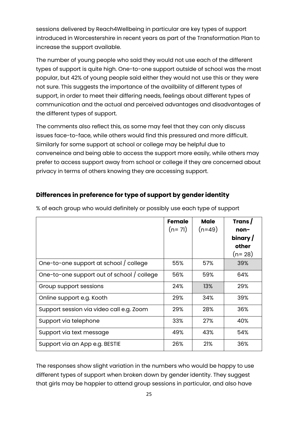sessions delivered by Reach4Wellbeing in particular are key types of support introduced in Worcestershire in recent years as part of the Transformation Plan to increase the support available.

The number of young people who said they would not use each of the different types of support is quite high. One-to-one support outside of school was the most popular, but 42% of young people said either they would not use this or they were not sure. This suggests the importance of the availbility of different types of support, in order to meet their differing needs, feelings about different types of communication and the actual and perceived advantages and disadvantages of the different types of support.

The comments also reflect this, as some may feel that they can only discuss issues face-to-face, while others would find this pressured and more difficult. Similarly for some support at school or college may be helpful due to conveneince and being able to access the support more easily, while others may prefer to access support away from school or college if they are concerned about privacy in terms of others knowing they are accessing support.

## **Differences in preference for type of support by gender identity**

|                                            | Female<br>$(n=71)$ | <b>Male</b><br>$(n=49)$ | Trans/<br>non-<br>binary/<br>other<br>$(n=28)$ |
|--------------------------------------------|--------------------|-------------------------|------------------------------------------------|
| One-to-one support at school / college     | 55%                | 57%                     | 39%                                            |
| One-to-one support out of school / college | 56%                | 59%                     | 64%                                            |
| Group support sessions                     | 24%                | 13%                     | 29%                                            |
| Online support e.g. Kooth                  | 29%                | 34%                     | 39%                                            |
| Support session via video call e.g. Zoom   | 29%                | 28%                     | 36%                                            |
| Support via telephone                      | 33%                | 27%                     | 40%                                            |
| Support via text message                   | 49%                | 43%                     | 54%                                            |
| Support via an App e.g. BESTIE             | 26%                | 21%                     | 36%                                            |

% of each group who would definitely or possibly use each type of support

The responses show slight variation in the numbers who would be happy to use different types of support when broken down by gender identity. They suggest that girls may be happier to attend group sessions in particular, and also have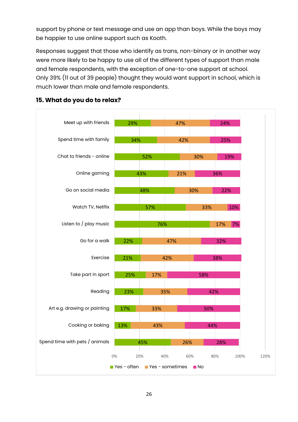support by phone or text message and use an app than boys. While the boys may be happier to use online support such as Kooth.

Responses suggest that those who identify as trans, non-binary or in another way were more likely to be happy to use all of the different types of support than male and female respondents, with the exception of one-to-one support at school. Only 39% (11 out of 39 people) thought they would want support in school, which is much lower than male and female respondents.



#### **15. What do you do to relax?**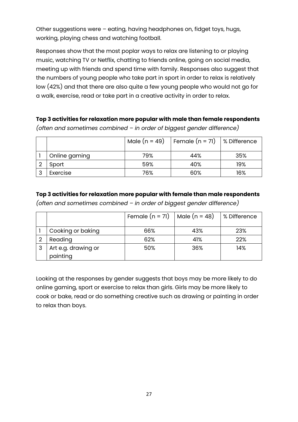Other suggestions were – eating, having headphones on, fidget toys, hugs, working, playing chess and watching football.

Responses show that the most poplar ways to relax are listening to or playing music, watching TV or Netflix, chatting to friends online, going on social media, meeting up with friends and spend time with family. Responses also suggest that the numbers of young people who take part in sport in order to relax is relatively low (42%) and that there are also quite a few young people who would not go for a walk, exercise, read or take part in a creative activity in order to relax.

## **Top 3 activities for relaxation more popular with male than female respondents**

|   |               | Male $(n = 49)$ | Female $(n = 71)$   % Difference |     |
|---|---------------|-----------------|----------------------------------|-----|
|   | Online gaming | 79%             | 44%                              | 35% |
|   | Sport         | 59%             | 40%                              | 19% |
| 3 | Exercise      | 76%             | 60%                              | 16% |

*(often and sometimes combined – in order of biggest gender difference)*

#### **Top 3 activities for relaxation more popular with female than male respondents**

*(often and sometimes combined – in order of biggest gender difference)*

|   |                                 | Female $(n = 71)$   Male $(n = 48)$ |     | % Difference |
|---|---------------------------------|-------------------------------------|-----|--------------|
|   | Cooking or baking               | 66%                                 | 43% | 23%          |
|   | Reading                         | 62%                                 | 41% | 22%          |
| 3 | Art e.g. drawing or<br>painting | 50%                                 | 36% | 14%          |

Looking at the responses by gender suggests that boys may be more likely to do online gaming, sport or exercise to relax than girls. Girls may be more likely to cook or bake, read or do something creative such as drawing or painting in order to relax than boys.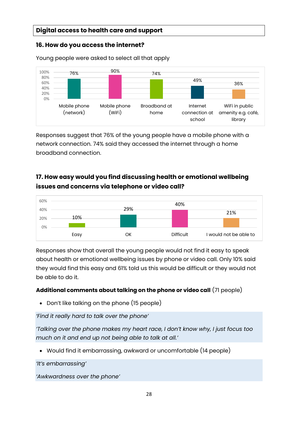## **Digital access to health care and support**

## **16. How do you access the internet?**

Young people were asked to select all that apply



Responses suggest that 76% of the young people have a mobile phone with a network connection. 74% said they accessed the internet through a home broadband connection.

## **17. How easy would you find discussing health or emotional wellbeing issues and concerns via telephone or video call?**



Responses show that overall the young people would not find it easy to speak about health or emotional wellbeing issues by phone or video call. Only 10% said they would find this easy and 61% told us this would be difficult or they would not be able to do it.

## **Additional comments about talking on the phone or video call** (71 people)

• Don't like talking on the phone (15 people)

*'Find it really hard to talk over the phone'*

*'Talking over the phone makes my heart race, I don't know why, I just focus too much on it and end up not being able to talk at all.'*

• Would find it embarrassing, awkward or uncomfortable (14 people)

*'It's embarrassing'*

*'Awkwardness over the phone'*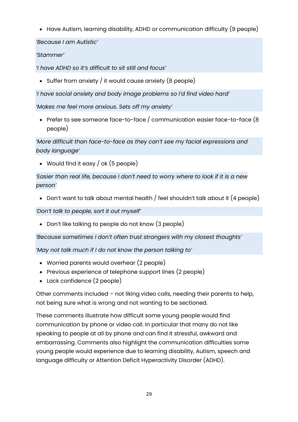• Have Autism, learning disability, ADHD or communication difficulty (9 people)

*'Because I am Autistic'*

## *'Stammer'*

*'I have ADHD so it's difficult to sit still and focus'*

• Suffer from anxiety / it would cause anxiety (8 people)

*'I have social anxiety and body image problems so I'd find video hard'*

*'Makes me feel more anxious. Sets off my anxiety'*

• Prefer to see someone face-to-face / communication easier face-to-face (8 people)

*'More difficult than face-to-face as they can't see my facial expressions and body language'*

• Would find it easy / ok (5 people)

*'Easier than real life, because I don't need to worry where to look if it is a new person'*

• Don't want to talk about mental health / feel shouldn't talk about it (4 people)

*'Don't talk to people, sort it out myself'*

• Don't like talking to people do not know (3 people)

*'Because sometimes I don't often trust strangers with my closest thoughts'*

*'May not talk much if I do not know the person talking to'*

- Worried parents would overhear (2 people)
- Previous experience of telephone support lines (2 people)
- Lack confidence (2 people)

Other comments included – not liking video calls, needing their parents to help, not being sure what is wrong and not wanting to be sectioned.

These comments illustrate how difficult some young people would find communication by phone or video call. In particular that many do not like speaking to people at all by phone and can find it stressful, awkward and embarrassing. Comments also highlight the communication difficulties some young people would experience due to learning disability, Autism, speech and language difficulty or Attention Deficit Hyperactivity Disorder (ADHD).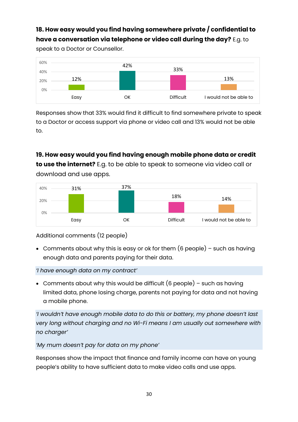## **18. How easy would you find having somewhere private / confidential to have a conversation via telephone or video call during the day?** E.g. to

speak to a Doctor or Counsellor.



Responses show that 33% would find it difficult to find somewhere private to speak to a Doctor or access support via phone or video call and 13% would not be able to.

## **19. How easy would you find having enough mobile phone data or credit to use the internet?** E.g. to be able to speak to someone via video call or download and use apps.



Additional comments (12 people)

• Comments about why this is easy or ok for them (6 people) – such as having enough data and parents paying for their data.

## *'I have enough data on my contract'*

• Comments about why this would be difficult  $(6$  people) – such as having limited data, phone losing charge, parents not paying for data and not having a mobile phone.

*'I wouldn't have enough mobile data to do this or battery, my phone doesn't last very long without charging and no Wi-Fi means I am usually out somewhere with no charger'*

*'My mum doesn't pay for data on my phone'*

Responses show the impact that finance and family income can have on young people's ability to have sufficient data to make video calls and use apps.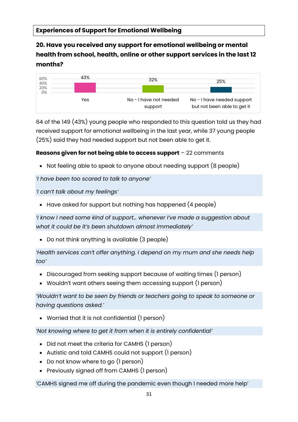**20. Have you received any support for emotional wellbeing or mental health from school, health, online or other support services in the last 12 months?**



64 of the 149 (43%) young people who responded to this question told us they had received support for emotional wellbeing in the last year, while 37 young people (25%) said they had needed support but not been able to get it.

## **Reasons given for not being able to access support** – 22 comments

• Not feeling able to speak to anyone about needing support (8 people)

*'I have been too scared to talk to anyone'*

*'I can't talk about my feelings'*

• Have asked for support but nothing has happened (4 people)

*'I know I need some kind of support… whenever I've made a suggestion about what it could be it's been shutdown almost immediately'*

• Do not think anything is available (3 people)

*'Health services can't offer anything. I depend on my mum and she needs help too'*

- Discouraged from seeking support because of waiting times (1 person)
- Wouldn't want others seeing them accessing support (1 person)

*'Wouldn't want to be seen by friends or teachers going to speak to someone or having questions asked.'*

• Worried that it is not confidential (1 person)

*'Not knowing where to get it from when it is entirely confidential'*

- Did not meet the criteria for CAMHS (1 person)
- Autistic and told CAMHS could not support (1 person)
- Do not know where to go (1 person)
- Previously signed off from CAMHS (1 person)

'CAMHS signed me off during the pandemic even though I needed more help'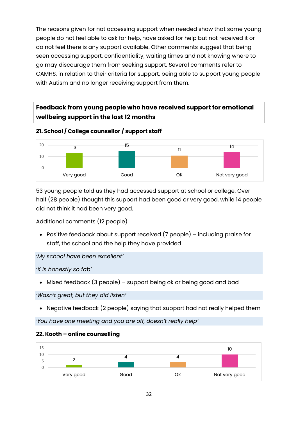The reasons given for not accessing support when needed show that some young people do not feel able to ask for help, have asked for help but not received it or do not feel there is any support available. Other comments suggest that being seen accessing support, confidentiality, waiting times and not knowing where to go may discourage them from seeking support. Several comments refer to CAMHS, in relation to their criteria for support, being able to support young people with Autism and no longer receiving support from them.

## **Feedback from young people who have received support for emotional wellbeing support in the last 12 months**

**21. School / College counsellor / support staff**



53 young people told us they had accessed support at school or college. Over half (28 people) thought this support had been good or very good, while 14 people did not think it had been very good.

Additional comments (12 people)

• Positive feedback about support received (7 people) – including praise for staff, the school and the help they have provided

*'My school have been excellent'*

*'X is honestly so fab'*

• Mixed feedback (3 people) – support being ok or being good and bad

*'Wasn't great, but they did listen'*

• Negative feedback (2 people) saying that support had not really helped them

*'You have one meeting and you are off, doesn't really help'*

## **22. Kooth – online counselling**

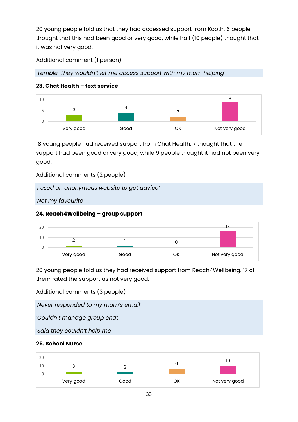20 young people told us that they had accessed support from Kooth. 6 people thought that this had been good or very good, while half (10 people) thought that it was not very good.

Additional comment (1 person)

*'Terrible. They wouldn't let me access support with my mum helping'*

## **23. Chat Health – text service**



18 young people had received support from Chat Health. 7 thought that the support had been good or very good, while 9 people thought it had not been very good.

Additional comments (2 people)

*'I used an anonymous website to get advice'*

*'Not my favourite'*

## **24. Reach4Wellbeing – group support**



20 young people told us they had received support from Reach4Wellbeing. 17 of them rated the support as not very good.

Additional comments (3 people)

*'Never responded to my mum's email'*

*'Couldn't manage group chat'*

*'Said they couldn't help me'*

## **25. School Nurse**

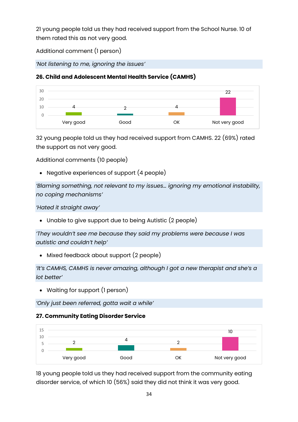21 young people told us they had received support from the School Nurse. 10 of them rated this as not very good.

Additional comment (1 person)

*'Not listening to me, ignoring the issues'*

## **26. Child and Adolescent Mental Health Service (CAMHS)**



32 young people told us they had received support from CAMHS. 22 (69%) rated the support as not very good.

Additional comments (10 people)

• Negative experiences of support (4 people)

*'Blaming something, not relevant to my issues… ignoring my emotional instability, no coping mechanisms'*

*'Hated it straight away'*

• Unable to give support due to being Autistic (2 people)

*'They wouldn't see me because they said my problems were because I was autistic and couldn't help'*

• Mixed feedback about support (2 people)

*'It's CAMHS, CAMHS is never amazing, although I got a new therapist and she's a lot better'*

• Waiting for support (1 person)

*'Only just been referred, gotta wait a while'*

## **27. Community Eating Disorder Service**



18 young people told us they had received support from the community eating disorder service, of which 10 (56%) said they did not think it was very good.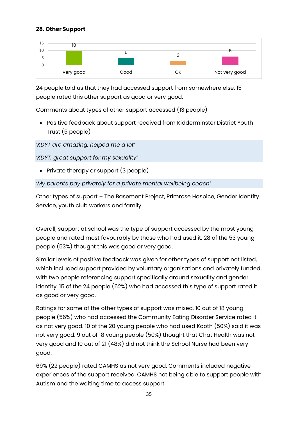#### **28. Other Support**



24 people told us that they had accessed support from somewhere else. 15 people rated this other support as good or very good.

Comments about types of other support accessed (13 people)

• Positive feedback about support received from Kidderminster District Youth Trust (5 people)

*'KDYT are amazing, helped me a lot'*

*'KDYT, great support for my sexuality'*

• Private therapy or support (3 people)

*'My parents pay privately for a private mental wellbeing coach'*

Other types of support – The Basement Project, Primrose Hospice, Gender Identity Service, youth club workers and family.

Overall, support at school was the type of support accessed by the most young people and rated most favourably by those who had used it. 28 of the 53 young people (53%) thought this was good or very good.

Similar levels of positive feedback was given for other types of support not listed, which included support provided by voluntary organisations and privately funded, with two people referencing support specifically around sexuality and gender identity. 15 of the 24 people (62%) who had accessed this type of support rated it as good or very good.

Ratings for some of the other types of support was mixed. 10 out of 18 young people (56%) who had accessed the Community Eating Disorder Service rated it as not very good. 10 of the 20 young people who had used Kooth (50%) said it was not very good. 9 out of 18 young people (50%) thought that Chat Health was not very good and 10 out of 21 (48%) did not think the School Nurse had been very good.

69% (22 people) rated CAMHS as not very good. Comments included negative experiences of the support received, CAMHS not being able to support people with Autism and the waiting time to access support.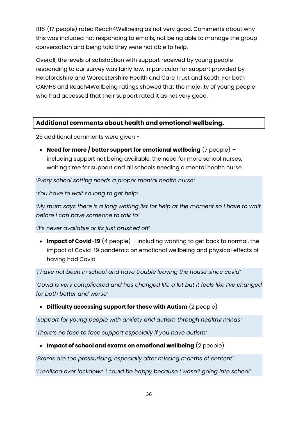81% (17 people) rated Reach4Wellbeing as not very good. Comments about why this was included not responding to emails, not being able to manage the group conversation and being told they were not able to help.

Overall, the levels of satisfaction with support received by young people responding to our survey was fairly low, in particular for support provided by Herefordshire and Worcestershire Health and Care Trust and Kooth. For both CAMHS and Reach4Wellbeing ratings showed that the majority of young people who had accessed that their support rated it as not very good.

## **Additional comments about health and emotional wellbeing.**

25 additional comments were given -

• **Need for more / better support for emotional wellbeing** (7 people) – including support not being available, the need for more school nurses, waiting time for support and all schools needing a mental health nurse.

*'Every school setting needs a proper mental health nurse'*

*'You have to wait so long to get help'*

*'My mum says there is a long waiting list for help at the moment so I have to wait before I can have someone to talk to'*

*'It's never available or its just brushed off'*

• **Impact of Covid-19** (4 people) – including wanting to get back to normal, the impact of Covid-19 pandemic on emotional wellbeing and physical effects of having had Covid.

*'I have not been in school and have trouble leaving the house since covid'*

*'Covid is very complicated and has changed life a lot but it feels like I've changed for both better and worse'*

• **Difficulty accessing support for those with Autism** (2 people)

*'Support for young people with anxiety and autism through healthy minds'*

*'There's no face to face support especially if you have autism'*

• **Impact of school and exams on emotional wellbeing** (2 people)

*'Exams are too pressurising, especially after missing months of content'*

*'I realised over lockdown I could be happy because I wasn't going into school'*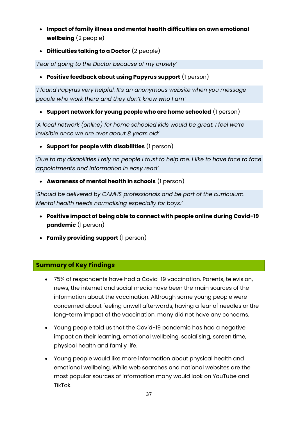- **Impact of family illness and mental health difficulties on own emotional wellbeing** (2 people)
- **Difficulties talking to a Doctor** (2 people)

*'Fear of going to the Doctor because of my anxiety'*

• **Positive feedback about using Papyrus support** (1 person)

*'I found Papyrus very helpful. It's an anonymous website when you message people who work there and they don't know who I am'*

• **Support network for young people who are home schooled** (1 person)

*'A local network (online) for home schooled kids would be great. I feel we're invisible once we are over about 8 years old'*

• **Support for people with disabilities** (1 person)

*'Due to my disabilities I rely on people I trust to help me. I like to have face to face appointments and information in easy read'*

• **Awareness of mental health in schools** (1 person)

*'Should be delivered by CAMHS professionals and be part of the curriculum. Mental health needs normalising especially for boys.'*

- **Positive impact of being able to connect with people online during Covid-19 pandemic** (1 person)
- **Family providing support** (1 person)

## **Summary of Key Findings**

- 75% of respondents have had a Covid-19 vaccination. Parents, television, news, the internet and social media have been the main sources of the information about the vaccination. Although some young people were concerned about feeling unwell afterwards, having a fear of needles or the long-term impact of the vaccination, many did not have any concerns.
- Young people told us that the Covid-19 pandemic has had a negative impact on their learning, emotional wellbeing, socialising, screen time, physical health and family life.
- Young people would like more information about physical health and emotional wellbeing. While web searches and national websites are the most popular sources of information many would look on YouTube and TikTok.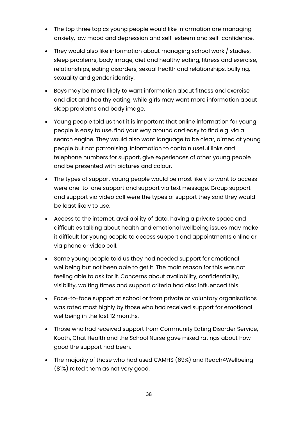- The top three topics young people would like information are managing anxiety, low mood and depression and self-esteem and self-confidence.
- They would also like information about managing school work / studies, sleep problems, body image, diet and healthy eating, fitness and exercise, relationships, eating disorders, sexual health and relationships, bullying, sexuality and gender identity.
- Boys may be more likely to want information about fitness and exercise and diet and healthy eating, while girls may want more information about sleep problems and body image.
- Young people told us that it is important that online information for young people is easy to use, find your way around and easy to find e.g. via a search engine. They would also want language to be clear, aimed at young people but not patronising. Information to contain useful links and telephone numbers for support, give experiences of other young people and be presented with pictures and colour.
- The types of support young people would be most likely to want to access were one-to-one support and support via text message. Group support and support via video call were the types of support they said they would be least likely to use.
- Access to the internet, availability of data, having a private space and difficulties talking about health and emotional wellbeing issues may make it difficult for young people to access support and appointments online or via phone or video call.
- Some young people told us they had needed support for emotional wellbeing but not been able to get it. The main reason for this was not feeling able to ask for it. Concerns about availability, confidentiality, visibility, waiting times and support criteria had also influenced this.
- Face-to-face support at school or from private or voluntary organisations was rated most highly by those who had received support for emotional wellbeing in the last 12 months.
- Those who had received support from Community Eating Disorder Service, Kooth, Chat Health and the School Nurse gave mixed ratings about how good the support had been.
- The majority of those who had used CAMHS (69%) and Reach4Wellbeing (81%) rated them as not very good.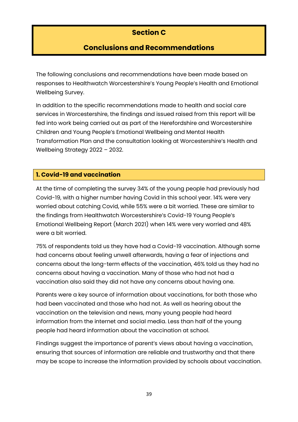## **Section C**

## **Conclusions and Recommendations**

The following conclusions and recommendations have been made based on responses to Healthwatch Worcestershire's Young People's Health and Emotional Wellbeing Survey.

In addition to the specific recommendations made to health and social care services in Worcestershire, the findings and issued raised from this report will be fed into work being carried out as part of the Herefordshire and Worcestershire Children and Young People's Emotional Wellbeing and Mental Health Transformation Plan and the consultation looking at Worcestershire's Health and Wellbeing Strategy 2022 – 2032.

## **1. Covid-19 and vaccination**

At the time of completing the survey 34% of the young people had previously had Covid-19, with a higher number having Covid in this school year. 14% were very worried about catching Covid, while 55% were a bit worried. These are similar to the findings from Healthwatch Worcestershire's Covid-19 Young People's Emotional Wellbeing Report (March 2021) when 14% were very worried and 48% were a bit worried.

75% of respondents told us they have had a Covid-19 vaccination. Although some had concerns about feeling unwell afterwards, having a fear of injections and concerns about the long-term effects of the vaccination, 46% told us they had no concerns about having a vaccination. Many of those who had not had a vaccination also said they did not have any concerns about having one.

Parents were a key source of information about vaccinations, for both those who had been vaccinated and those who had not. As well as hearing about the vaccination on the television and news, many young people had heard information from the internet and social media. Less than half of the young people had heard information about the vaccination at school.

Findings suggest the importance of parent's views about having a vaccination, ensuring that sources of information are reliable and trustworthy and that there may be scope to increase the information provided by schools about vaccination.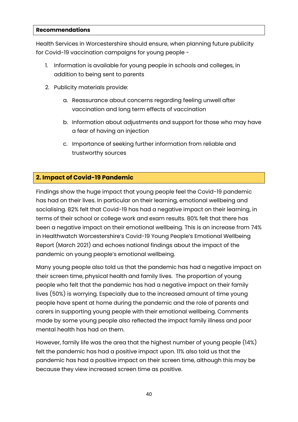#### **Recommendations**

Health Services in Worcestershire should ensure, when planning future publicity for Covid-19 vaccination campaigns for young people -

- 1. Information is available for young people in schools and colleges, in addition to being sent to parents
- 2. Publicity materials provide:
	- a. Reassurance about concerns regarding feeling unwell after vaccination and long term effects of vaccination
	- b. Information about adjustments and support for those who may have a fear of having an injection
	- c. Importance of seeking further information from reliable and trustworthy sources

## **2. Impact of Covid-19 Pandemic**

Findings show the huge impact that young people feel the Covid-19 pandemic has had on their lives. In particular on their learning, emotional wellbeing and socialising. 82% felt that Covid-19 has had a negative impact on their learning, in terms of their school or college work and exam results. 80% felt that there has been a negative impact on their emotional wellbeing. This is an increase from 74% in Healthwatch Worcestershire's Covid-19 Young People's Emotional Wellbeing Report (March 2021) and echoes national findings about the impact of the pandemic on young people's emotional wellbeing.

Many young people also told us that the pandemic has had a negative impact on their screen time, physical health and family lives. The proportion of young people who felt that the pandemic has had a negative impact on their family lives (50%) is worrying. Especially due to the increased amount of time young people have spent at home during the pandemic and the role of parents and carers in supporting young people with their emotional wellbeing. Comments made by some young people also reflected the impact family illness and poor mental health has had on them.

However, family life was the area that the highest number of young people (14%) felt the pandemic has had a positive impact upon. 11% also told us that the pandemic has had a positive impact on their screen time, although this may be because they view increased screen time as positive.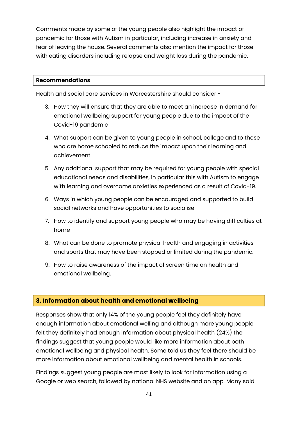Comments made by some of the young people also highlight the impact of pandemic for those with Autism in particular, including increase in anxiety and fear of leaving the house. Several comments also mention the impact for those with eating disorders including relapse and weight loss during the pandemic.

#### **Recommendations**

Health and social care services in Worcestershire should consider -

- 3. How they will ensure that they are able to meet an increase in demand for emotional wellbeing support for young people due to the impact of the Covid-19 pandemic
- 4. What support can be given to young people in school, college and to those who are home schooled to reduce the impact upon their learning and achievement
- 5. Any additional support that may be required for young people with special educational needs and disabilities, in particular this with Autism to engage with learning and overcome anxieties experienced as a result of Covid-19.
- 6. Ways in which young people can be encouraged and supported to build social networks and have opportunities to socialise
- 7. How to identify and support young people who may be having difficulties at home
- 8. What can be done to promote physical health and engaging in activities and sports that may have been stopped or limited during the pandemic.
- 9. How to raise awareness of the impact of screen time on health and emotional wellbeing.

## **3. Information about health and emotional wellbeing**

Responses show that only 14% of the young people feel they definitely have enough information about emotional welling and although more young people felt they definitely had enough information about physical health (24%) the findings suggest that young people would like more information about both emotional wellbeing and physical health. Some told us they feel there should be more information about emotional wellbeing and mental health in schools.

Findings suggest young people are most likely to look for information using a Google or web search, followed by national NHS website and an app. Many said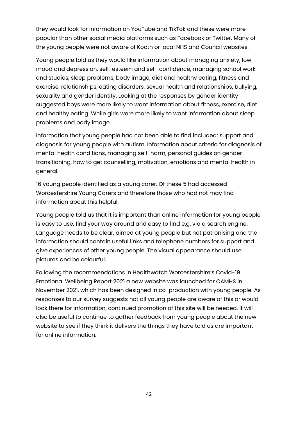they would look for information on YouTube and TikTok and these were more popular than other social media platforms such as Facebook or Twitter. Many of the young people were not aware of Kooth or local NHS and Council websites.

Young people told us they would like information about managing anxiety, low mood and depression, self-esteem and self-confidence, managing school work and studies, sleep problems, body image, diet and healthy eating, fitness and exercise, relationships, eating disorders, sexual health and relationships, bullying, sexuality and gender identity. Looking at the responses by gender identity suggested boys were more likely to want information about fitness, exercise, diet and healthy eating. While girls were more likely to want information about sleep problems and body image.

Information that young people had not been able to find included: support and diagnosis for young people with autism, Information about criteria for diagnosis of mental health conditions, managing self-harm, personal guides on gender transitioning, how to get counselling, motivation, emotions and mental health in general.

16 young people identified as a young carer. Of these 5 had accessed Worcestershire Young Carers and therefore those who had not may find information about this helpful.

Young people told us that it is important than online information for young people is easy to use, find your way around and easy to find e.g. via a search engine. Language needs to be clear, aimed at young people but not patronising and the information should contain useful links and telephone numbers for support and give experiences of other young people. The visual appearance should use pictures and be colourful.

Following the recommendations in Healthwatch Worcestershire's Covid-19 Emotional Wellbeing Report 2021 a new website was launched for CAMHS in November 2021, which has been designed in co-production with young people. As responses to our survey suggests not all young people are aware of this or would look there for information, continued promotion of this site will be needed. It will also be useful to continue to gather feedback from young people about the new website to see if they think it delivers the things they have told us are important for online information.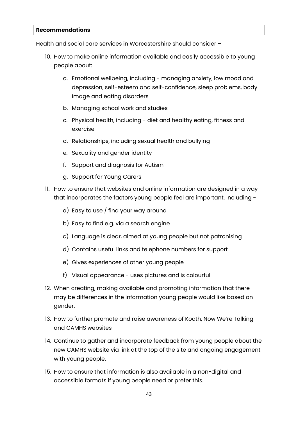#### **Recommendations**

Health and social care services in Worcestershire should consider –

- 10. How to make online information available and easily accessible to young people about:
	- a. Emotional wellbeing, including managing anxiety, low mood and depression, self-esteem and self-confidence, sleep problems, body image and eating disorders
	- b. Managing school work and studies
	- c. Physical health, including diet and healthy eating, fitness and exercise
	- d. Relationships, including sexual health and bullying
	- e. Sexuality and gender identity
	- f. Support and diagnosis for Autism
	- g. Support for Young Carers
- 11. How to ensure that websites and online information are designed in a way that incorporates the factors young people feel are important. Including
	- a) Easy to use / find your way around
	- b) Easy to find e.g. via a search engine
	- c) Language is clear, aimed at young people but not patronising
	- d) Contains useful links and telephone numbers for support
	- e) Gives experiences of other young people
	- f) Visual appearance uses pictures and is colourful
- 12. When creating, making available and promoting information that there may be differences in the information young people would like based on gender.
- 13. How to further promote and raise awareness of Kooth, Now We're Talking and CAMHS websites
- 14. Continue to gather and incorporate feedback from young people about the new CAMHS website via link at the top of the site and ongoing engagement with young people.
- 15. How to ensure that information is also available in a non-digital and accessible formats if young people need or prefer this.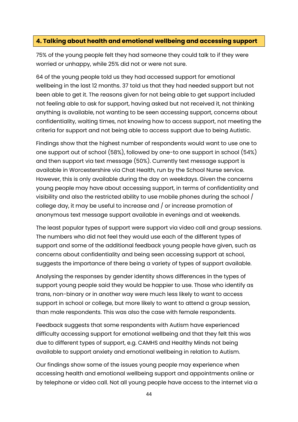## **4. Talking about health and emotional wellbeing and accessing support**

75% of the young people felt they had someone they could talk to if they were worried or unhappy, while 25% did not or were not sure.

64 of the young people told us they had accessed support for emotional wellbeing in the last 12 months. 37 told us that they had needed support but not been able to get it. The reasons given for not being able to get support included not feeling able to ask for support, having asked but not received it, not thinking anything is available, not wanting to be seen accessing support, concerns about confidentiality, waiting times, not knowing how to access support, not meeting the criteria for support and not being able to access support due to being Autistic.

Findings show that the highest number of respondents would want to use one to one support out of school (58%), followed by one-to one support in school (54%) and then support via text message (50%). Currently text message support is available in Worcestershire via Chat Health, run by the School Nurse service. However, this is only available during the day on weekdays. Given the concerns young people may have about accessing support, in terms of confidentiality and visibility and also the restricted ability to use mobile phones during the school / college day, it may be useful to increase and / or increase promotion of anonymous text message support available in evenings and at weekends.

The least popular types of support were support via video call and group sessions. The numbers who did not feel they would use each of the different types of support and some of the additional feedback young people have given, such as concerns about confidentiality and being seen accessing support at school, suggests the importance of there being a variety of types of support available.

Analysing the responses by gender identity shows differences in the types of support young people said they would be happier to use. Those who identify as trans, non-binary or in another way were much less likely to want to access support in school or college, but more likely to want to attend a group session, than male respondents. This was also the case with female respondents.

Feedback suggests that some respondents with Autism have experienced difficulty accessing support for emotional wellbeing and that they felt this was due to different types of support, e.g. CAMHS and Healthy Minds not being available to support anxiety and emotional wellbeing in relation to Autism.

Our findings show some of the issues young people may experience when accessing health and emotional wellbeing support and appointments online or by telephone or video call. Not all young people have access to the internet via a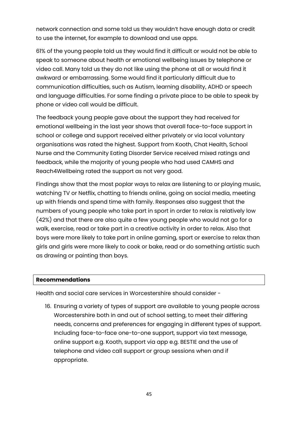network connection and some told us they wouldn't have enough data or credit to use the internet, for example to download and use apps.

61% of the young people told us they would find it difficult or would not be able to speak to someone about health or emotional wellbeing issues by telephone or video call. Many told us they do not like using the phone at all or would find it awkward or embarrassing. Some would find it particularly difficult due to communication difficulties, such as Autism, learning disability, ADHD or speech and language difficulties. For some finding a private place to be able to speak by phone or video call would be difficult.

The feedback young people gave about the support they had received for emotional wellbeing in the last year shows that overall face-to-face support in school or college and support received either privately or via local voluntary organisations was rated the highest. Support from Kooth, Chat Health, School Nurse and the Community Eating Disorder Service received mixed ratings and feedback, while the majority of young people who had used CAMHS and Reach4Wellbeing rated the support as not very good.

Findings show that the most poplar ways to relax are listening to or playing music, watching TV or Netflix, chatting to friends online, going on social media, meeting up with friends and spend time with family. Responses also suggest that the numbers of young people who take part in sport in order to relax is relatively low (42%) and that there are also quite a few young people who would not go for a walk, exercise, read or take part in a creative activity in order to relax. Also that boys were more likely to take part in online gaming, sport or exercise to relax than girls and girls were more likely to cook or bake, read or do something artistic such as drawing or painting than boys.

#### **Recommendations**

Health and social care services in Worcestershire should consider -

16. Ensuring a variety of types of support are available to young people across Worcestershire both in and out of school setting, to meet their differing needs, concerns and preferences for engaging in different types of support. Including face-to-face one-to-one support, support via text message, online support e.g. Kooth, support via app e.g. BESTIE and the use of telephone and video call support or group sessions when and if appropriate.